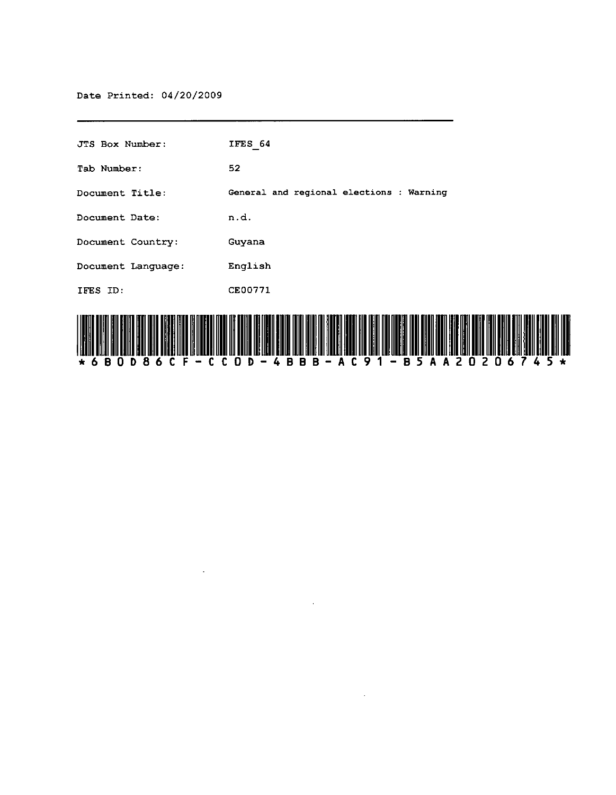| JTS Box Number:    | IFES 64                                  |
|--------------------|------------------------------------------|
| Tab Number:        | 52                                       |
| Document Title:    | General and regional elections : Warning |
| Document Date:     | n.d.                                     |
| Document Country:  | Guyana                                   |
| Document Language: | English                                  |
| IFES ID:           | CE00771                                  |
|                    |                                          |

 $\mathbb{Z}^2$ 



 $\sim$ 

 $\mathcal{L}^{\pm}$